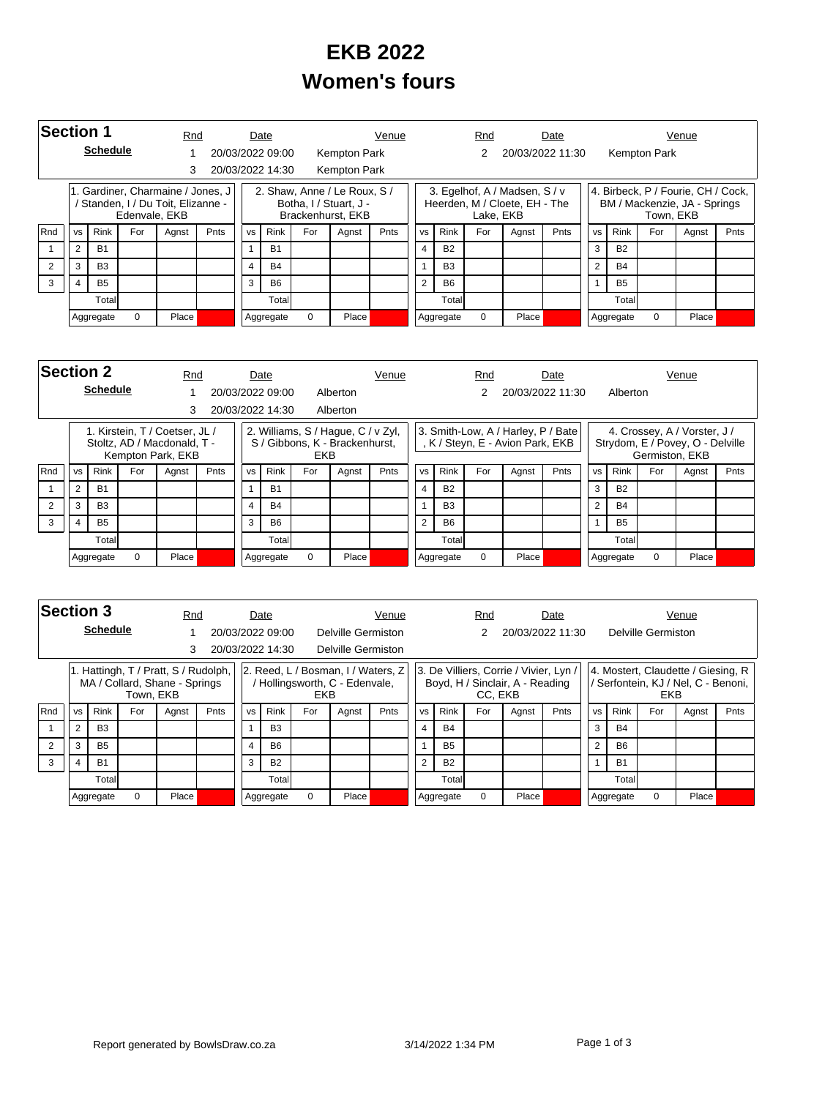## **EKB 2022 Women's fours**

|            | <b>Section 1</b><br><b>Schedule</b>      |                |               |                                                                       | Rnd    |                                                                             | Date             |       | Venue               |                |                |             | Rnd       |                                                                | Date           |           |             |              | Venue                                                              |      |
|------------|------------------------------------------|----------------|---------------|-----------------------------------------------------------------------|--------|-----------------------------------------------------------------------------|------------------|-------|---------------------|----------------|----------------|-------------|-----------|----------------------------------------------------------------|----------------|-----------|-------------|--------------|--------------------------------------------------------------------|------|
|            |                                          |                |               |                                                                       |        |                                                                             | 20/03/2022 09:00 |       | Kempton Park        |                |                |             |           | 20/03/2022 11:30                                               |                |           |             | Kempton Park |                                                                    |      |
|            |                                          |                |               | 3                                                                     |        |                                                                             | 20/03/2022 14:30 |       | <b>Kempton Park</b> |                |                |             |           |                                                                |                |           |             |              |                                                                    |      |
|            |                                          |                | Edenvale, EKB | 1. Gardiner, Charmaine / Jones, J<br>Standen, I / Du Toit, Elizanne - |        | 2. Shaw, Anne / Le Roux, S /<br>Botha, I / Stuart, J -<br>Brackenhurst, EKB |                  |       |                     |                |                |             | Lake, EKB | 3. Egelhof, A / Madsen, S / v<br>Heerden, M / Cloete, EH - The |                |           |             | Town, EKB    | 4. Birbeck, P / Fourie, CH / Cock,<br>BM / Mackenzie, JA - Springs |      |
| <b>Rnd</b> | <b>Rink</b><br>For<br><b>VS</b><br>Agnst |                |               |                                                                       | Pnts   | <b>VS</b>                                                                   | Rink             | For   | Agnst               | Pnts           | <b>VS</b>      | <b>Rink</b> | For       | Agnst                                                          | Pnts           | <b>VS</b> | <b>Rink</b> | For          | Agnst                                                              | Pnts |
|            | $\overline{2}$                           | <b>B1</b>      |               |                                                                       |        |                                                                             | <b>B1</b>        |       |                     |                | $\overline{4}$ | <b>B2</b>   |           |                                                                |                | 3         | <b>B2</b>   |              |                                                                    |      |
|            | 3                                        | B <sub>3</sub> |               |                                                                       | 4      | <b>B4</b>                                                                   |                  |       |                     | $\overline{A}$ | B <sub>3</sub> |             |           |                                                                | $\overline{2}$ | <b>B4</b> |             |              |                                                                    |      |
| 3          | 4                                        | <b>B5</b>      |               |                                                                       |        | 3                                                                           | <b>B6</b>        |       |                     |                | $\overline{2}$ | <b>B6</b>   |           |                                                                |                |           | <b>B5</b>   |              |                                                                    |      |
|            | Total                                    |                |               |                                                                       | Totall |                                                                             |                  |       |                     | Totall         |                |             |           |                                                                | Total          |           |             |              |                                                                    |      |
|            | 0<br>Aggregate                           |                | Place         |                                                                       |        | 0<br>Aggregate                                                              |                  | Place |                     |                | Aggregate      | 0           | Place     |                                                                |                | Aggregate | $\Omega$    | Place        |                                                                    |      |

|     | <b>Section 2</b><br>Rnd<br><b>Schedule</b> |                                                          |  |                                                               |                       |                                                                                    | Date             |       | Venue    |           |                |                | Rnd |                                                                        | Date             |           |             |                | Venue                                                            |      |
|-----|--------------------------------------------|----------------------------------------------------------|--|---------------------------------------------------------------|-----------------------|------------------------------------------------------------------------------------|------------------|-------|----------|-----------|----------------|----------------|-----|------------------------------------------------------------------------|------------------|-----------|-------------|----------------|------------------------------------------------------------------|------|
|     |                                            |                                                          |  |                                                               |                       |                                                                                    | 20/03/2022 09:00 |       | Alberton |           |                |                |     |                                                                        | 20/03/2022 11:30 |           | Alberton    |                |                                                                  |      |
|     |                                            |                                                          |  | 3                                                             |                       |                                                                                    | 20/03/2022 14:30 |       | Alberton |           |                |                |     |                                                                        |                  |           |             |                |                                                                  |      |
|     |                                            |                                                          |  | 1. Kirstein, T / Coetser, JL /<br>Stoltz, AD / Macdonald, T - |                       | 2. Williams, S / Hague, C / v Zyl,<br>S / Gibbons, K - Brackenhurst,<br><b>EKB</b> |                  |       |          |           |                |                |     | 3. Smith-Low, A / Harley, P / Bate<br>, K / Steyn, E - Avion Park, EKB |                  |           |             | Germiston, EKB | 4. Crossey, A / Vorster, J /<br>Strydom, E / Povey, O - Delville |      |
| Rnd | <b>VS</b>                                  | Kempton Park, EKB<br><b>Rink</b><br>For<br>Pnts<br>Agnst |  |                                                               |                       | <b>VS</b>                                                                          | Rink             | For   | Agnst    | Pnts      | <b>VS</b>      | Rink           | For | Agnst                                                                  | Pnts             | <b>VS</b> | <b>Rink</b> | For            | Agnst                                                            | Pnts |
|     | $\overline{2}$                             | <b>B1</b>                                                |  |                                                               |                       |                                                                                    | B <sub>1</sub>   |       |          |           |                | <b>B2</b>      |     |                                                                        |                  | 3         | <b>B2</b>   |                |                                                                  |      |
| 2   | 3                                          | B <sub>3</sub>                                           |  |                                                               |                       | 4                                                                                  | <b>B4</b>        |       |          |           |                | B <sub>3</sub> |     |                                                                        |                  | C         | <b>B4</b>   |                |                                                                  |      |
| 3   |                                            | B <sub>5</sub>                                           |  |                                                               |                       | 3                                                                                  | <b>B6</b>        |       |          |           | $\overline{2}$ | <b>B6</b>      |     |                                                                        |                  |           | <b>B5</b>   |                |                                                                  |      |
|     | Total                                      |                                                          |  | Totall                                                        |                       |                                                                                    |                  |       | Totall   |           |                |                |     | Total                                                                  |                  |           |             |                |                                                                  |      |
|     | $\Omega$<br>Place<br>Aggregate             |                                                          |  |                                                               | $\Omega$<br>Aggregate |                                                                                    |                  | Place |          | Aggregate | $\Omega$       | Place          |     |                                                                        | Aggregate        | $\Omega$  | Place       |                |                                                                  |      |

| Section 3 |                                          |                 |           | Rnd                                                                   |           |                                                                                  | Date             |       |                    | Venue     |                         |                                                                                    | Rnd   |                  | Date      |           |             |                    | Venue                                                                   |      |
|-----------|------------------------------------------|-----------------|-----------|-----------------------------------------------------------------------|-----------|----------------------------------------------------------------------------------|------------------|-------|--------------------|-----------|-------------------------|------------------------------------------------------------------------------------|-------|------------------|-----------|-----------|-------------|--------------------|-------------------------------------------------------------------------|------|
|           |                                          | <b>Schedule</b> |           |                                                                       |           |                                                                                  | 20/03/2022 09:00 |       | Delville Germiston |           |                         |                                                                                    |       | 20/03/2022 11:30 |           |           |             | Delville Germiston |                                                                         |      |
|           | 3                                        |                 |           |                                                                       |           |                                                                                  | 20/03/2022 14:30 |       | Delville Germiston |           |                         |                                                                                    |       |                  |           |           |             |                    |                                                                         |      |
|           |                                          |                 | Town, EKB | 1. Hattingh, T / Pratt, S / Rudolph,<br>MA / Collard, Shane - Springs |           | 2. Reed, L / Bosman, I / Waters, Z<br>Hollingsworth, C - Edenvale,<br><b>EKB</b> |                  |       |                    |           |                         | 3. De Villiers, Corrie / Vivier, Lyn<br>Boyd, H / Sinclair, A - Reading<br>CC. EKB |       |                  |           |           |             | <b>EKB</b>         | 4. Mostert, Claudette / Giesing, R<br>Serfontein, KJ / Nel, C - Benoni, |      |
| Rnd       | <b>Rink</b><br>For<br><b>VS</b><br>Agnst |                 |           |                                                                       | Pnts      | <b>VS</b>                                                                        | Rink             | For   | Agnst              | Pnts      | <b>VS</b>               | <b>Rink</b>                                                                        | For   | Agnst            | Pnts      | <b>VS</b> | <b>Rink</b> | For                | Agnst                                                                   | Pnts |
|           | $\overline{2}$                           | B <sub>3</sub>  |           |                                                                       |           | 1                                                                                | <b>B3</b>        |       |                    |           | $\overline{\mathbf{4}}$ | <b>B4</b>                                                                          |       |                  |           | 3         | <b>B4</b>   |                    |                                                                         |      |
|           | 3                                        | <b>B5</b>       |           |                                                                       |           | $\overline{4}$                                                                   | <b>B6</b>        |       |                    |           |                         | <b>B5</b>                                                                          |       |                  |           | 2         | <b>B6</b>   |                    |                                                                         |      |
| 3         | <b>B1</b><br>$\overline{4}$              |                 |           | 3                                                                     | <b>B2</b> |                                                                                  |                  |       | $\mathcal{P}$      | <b>B2</b> |                         |                                                                                    |       |                  | <b>B1</b> |           |             |                    |                                                                         |      |
|           | Totall                                   |                 |           |                                                                       |           | Total                                                                            |                  |       |                    |           | Total                   |                                                                                    |       |                  |           | Total     |             |                    |                                                                         |      |
|           | 0<br>Aggregate                           |                 | Place     |                                                                       |           | Aggregate                                                                        | 0                | Place |                    |           | Aggregate               | $\Omega$                                                                           | Place |                  |           | Aggregate | $\Omega$    | Place              |                                                                         |      |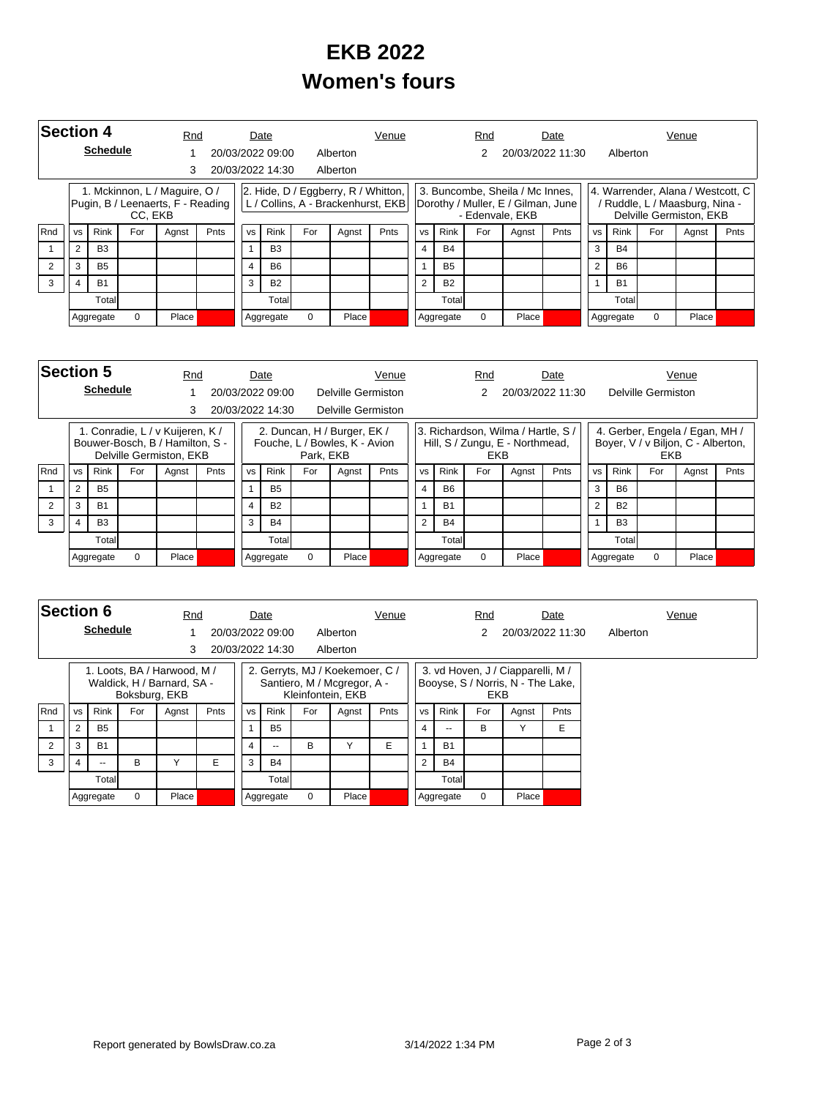## **EKB 2022 Women's fours**

|     | <b>Section 4</b><br><b>Schedule</b> |                              |          |                                                                    | Rnd |           | Date             |          | Venue                                 |                                    |                |             | Rnd      |                                                                                          | Date             |           |             |          | Venue                                                                                            |      |
|-----|-------------------------------------|------------------------------|----------|--------------------------------------------------------------------|-----|-----------|------------------|----------|---------------------------------------|------------------------------------|----------------|-------------|----------|------------------------------------------------------------------------------------------|------------------|-----------|-------------|----------|--------------------------------------------------------------------------------------------------|------|
|     |                                     |                              |          |                                                                    |     |           | 20/03/2022 09:00 |          | Alberton                              |                                    |                |             | 2        |                                                                                          | 20/03/2022 11:30 |           | Alberton    |          |                                                                                                  |      |
|     |                                     |                              |          |                                                                    |     |           | 20/03/2022 14:30 |          | Alberton                              |                                    |                |             |          |                                                                                          |                  |           |             |          |                                                                                                  |      |
|     |                                     |                              | CC. EKB  | 1. Mckinnon, L / Maguire, O /<br>Pugin, B / Leenaerts, F - Reading |     |           |                  |          | 2. Hide, $D / Eggberry, R / Whitten,$ | L / Collins, A - Brackenhurst, EKB |                |             |          | 3. Buncombe, Sheila / Mc Innes,<br>Dorothy / Muller, E / Gilman, June<br>- Edenvale, EKB |                  |           |             |          | 4. Warrender, Alana / Westcott, C  <br>/ Ruddle, L / Maasburg, Nina -<br>Delville Germiston, EKB |      |
| Rnd | <b>VS</b>                           | Rink<br>For<br>Pnts<br>Agnst |          |                                                                    |     | <b>VS</b> | Rink             | For      | Agnst                                 | Pnts                               | <b>VS</b>      | <b>Rink</b> | For      | Agnst                                                                                    | Pnts             | <b>VS</b> | <b>Rink</b> | For      | Agnst                                                                                            | Pnts |
|     | 2                                   | <b>B3</b>                    |          |                                                                    |     |           | B <sub>3</sub>   |          |                                       |                                    | $\overline{4}$ | <b>B4</b>   |          |                                                                                          |                  | 3         | <b>B4</b>   |          |                                                                                                  |      |
|     | 3                                   | <b>B5</b>                    |          |                                                                    | 4   | <b>B6</b> |                  |          |                                       |                                    | <b>B5</b>      |             |          |                                                                                          | $\overline{2}$   | <b>B6</b> |             |          |                                                                                                  |      |
| 3   | 4                                   | <b>B1</b>                    |          |                                                                    |     | 3         | <b>B2</b>        |          |                                       |                                    | $\overline{2}$ | <b>B2</b>   |          |                                                                                          |                  |           | <b>B1</b>   |          |                                                                                                  |      |
|     |                                     | Totall                       |          |                                                                    |     |           | Total            |          |                                       |                                    |                | Totall      |          |                                                                                          |                  |           | Total       |          |                                                                                                  |      |
|     |                                     | Aggregate                    | $\Omega$ | Place                                                              |     |           | Aggregate        | $\Omega$ | Place                                 |                                    |                | Aggregate   | $\Omega$ | Place                                                                                    |                  |           | Aggregate   | $\Omega$ | Place                                                                                            |      |

|                | <b>Section 5</b><br>Rnd        |                 |     |                                                                                                |           |                                                                           | Date             |     | Venue                     |   |                                                                             |          |             | Rnd |       | Date             |           |             |                    | Venue                                                                |      |
|----------------|--------------------------------|-----------------|-----|------------------------------------------------------------------------------------------------|-----------|---------------------------------------------------------------------------|------------------|-----|---------------------------|---|-----------------------------------------------------------------------------|----------|-------------|-----|-------|------------------|-----------|-------------|--------------------|----------------------------------------------------------------------|------|
|                |                                | <b>Schedule</b> |     |                                                                                                |           |                                                                           | 20/03/2022 09:00 |     | Delville Germiston        |   |                                                                             |          |             | 2   |       | 20/03/2022 11:30 |           |             | Delville Germiston |                                                                      |      |
|                |                                |                 |     | 3                                                                                              |           |                                                                           | 20/03/2022 14:30 |     | <b>Delville Germiston</b> |   |                                                                             |          |             |     |       |                  |           |             |                    |                                                                      |      |
|                |                                |                 |     | 1. Conradie, L / v Kuijeren, K /<br>Bouwer-Bosch, B / Hamilton, S -<br>Delville Germiston, EKB |           | 2. Duncan, H / Burger, EK /<br>Fouche, L / Bowles, K - Avion<br>Park, EKB |                  |     |                           |   | 3. Richardson, Wilma / Hartle, S.<br>Hill, S / Zungu, E - Northmead,<br>EKB |          |             |     |       |                  |           |             | <b>EKB</b>         | 4. Gerber, Engela / Egan, MH /<br>Boyer, V / v Biljon, C - Alberton, |      |
| Rnd            | <b>VS</b>                      | <b>Rink</b>     | For | Agnst                                                                                          | Pnts      | <b>VS</b>                                                                 | <b>Rink</b>      | For | Pnts<br>Agnst             |   |                                                                             |          | <b>Rink</b> | For | Agnst | Pnts             | <b>VS</b> | <b>Rink</b> | For                | Agnst                                                                | Pnts |
|                | $\overline{2}$                 | <b>B5</b>       |     |                                                                                                |           |                                                                           | <b>B5</b>        |     |                           |   |                                                                             |          | <b>B6</b>   |     |       |                  | 3         | <b>B6</b>   |                    |                                                                      |      |
| $\overline{2}$ | 3                              | <b>B1</b>       |     |                                                                                                |           | 4                                                                         | <b>B2</b>        |     |                           |   |                                                                             |          | <b>B1</b>   |     |       |                  | 2         | <b>B2</b>   |                    |                                                                      |      |
| 3              | 3<br><b>B3</b><br><b>B4</b>    |                 |     |                                                                                                |           |                                                                           |                  |     |                           | 2 | <b>B4</b>                                                                   |          |             |     |       | B <sub>3</sub>   |           |             |                    |                                                                      |      |
|                | Totall                         |                 |     |                                                                                                |           | Total                                                                     |                  |     |                           |   |                                                                             | Totall   |             |     |       |                  | Total     |             |                    |                                                                      |      |
|                | Place<br>$\Omega$<br>Aggregate |                 |     |                                                                                                | Aggregate | $\Omega$                                                                  | Place            |     |                           |   | Aggregate                                                                   | $\Omega$ | Place       |     |       | Aggregate        | 0         | Place       |                    |                                                                      |      |

| <b>Section 6</b> |                                |                              |               | Rnd                                                       |       | Date      |                  |       | Venue                                                                               |      |           |           | Rnd   |                                                                        | Date             |          | Venue |
|------------------|--------------------------------|------------------------------|---------------|-----------------------------------------------------------|-------|-----------|------------------|-------|-------------------------------------------------------------------------------------|------|-----------|-----------|-------|------------------------------------------------------------------------|------------------|----------|-------|
|                  |                                | <b>Schedule</b>              |               |                                                           |       |           | 20/03/2022 09:00 |       | Alberton                                                                            |      |           |           | 2     |                                                                        | 20/03/2022 11:30 | Alberton |       |
|                  |                                |                              |               | 3                                                         |       |           | 20/03/2022 14:30 |       | Alberton                                                                            |      |           |           |       |                                                                        |                  |          |       |
|                  |                                |                              | Boksburg, EKB | 1. Loots, BA / Harwood, M /<br>Waldick, H / Barnard, SA - |       |           |                  |       | 2. Gerryts, MJ / Koekemoer, C /<br>Santiero, M / Mcgregor, A -<br>Kleinfontein, EKB |      |           |           | EKB   | 3. vd Hoven, J / Ciapparelli, M /<br>Booyse, S / Norris, N - The Lake, |                  |          |       |
| Rnd              | <b>VS</b>                      | Rink<br>For<br>Pnts<br>Agnst |               |                                                           |       | <b>VS</b> | Rink             | For   | Agnst                                                                               | Pnts | <b>VS</b> | Rink      | For   | Agnst                                                                  | Pnts             |          |       |
|                  | $\overline{2}$                 | <b>B5</b>                    |               |                                                           |       |           | <b>B5</b>        |       |                                                                                     |      | 4         | --        | B     |                                                                        | E                |          |       |
| $\overline{2}$   | 3                              | <b>B1</b>                    |               |                                                           |       | 4         | $\overline{a}$   | B     |                                                                                     | E    |           | <b>B1</b> |       |                                                                        |                  |          |       |
| 3                | 4                              | --                           | B             |                                                           | E     | 3         | <b>B4</b>        |       |                                                                                     |      | 2         | <b>B4</b> |       |                                                                        |                  |          |       |
|                  | Total                          |                              |               |                                                           | Total |           |                  |       |                                                                                     |      | Total     |           |       |                                                                        |                  |          |       |
|                  | <b>Place</b><br>0<br>Aggregate |                              |               |                                                           |       | Aggregate | $\Omega$         | Place |                                                                                     |      | Aggregate | $\Omega$  | Place |                                                                        |                  |          |       |